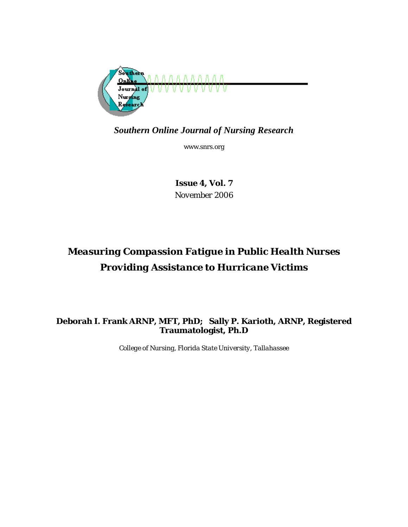

*Southern Online Journal of Nursing Research* 

www.snrs.org

*Issue 4, Vol. 7 November 2006* 

# *Measuring Compassion Fatigue in Public Health Nurses Providing Assistance to Hurricane Victims*

## **Deborah I. Frank ARNP, MFT, PhD; Sally P. Karioth, ARNP, Registered Traumatologist, Ph.D**

*College of Nursing, Florida State University, Tallahassee*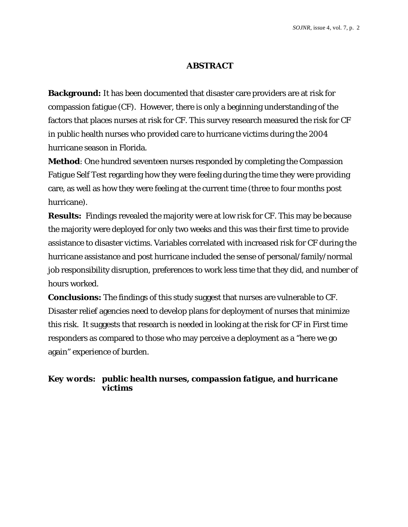### **ABSTRACT**

**Background:** It has been documented that disaster care providers are at risk for compassion fatigue (CF). However, there is only a beginning understanding of the factors that places nurses at risk for CF. This survey research measured the risk for CF in public health nurses who provided care to hurricane victims during the 2004 hurricane season in Florida.

**Method**: One hundred seventeen nurses responded by completing the Compassion Fatigue Self Test regarding how they were feeling during the time they were providing care, as well as how they were feeling at the current time (three to four months post hurricane).

**Results:** Findings revealed the majority were at low risk for CF. This may be because the majority were deployed for only two weeks and this was their first time to provide assistance to disaster victims. Variables correlated with increased risk for CF during the hurricane assistance and post hurricane included the sense of personal/family/normal job responsibility disruption, preferences to work less time that they did, and number of hours worked.

**Conclusions:** The findings of this study suggest that nurses are vulnerable to CF. Disaster relief agencies need to develop plans for deployment of nurses that minimize this risk. It suggests that research is needed in looking at the risk for CF in First time responders as compared to those who may perceive a deployment as a "here we go again" experience of burden.

## *Key words: public health nurses, compassion fatigue, and hurricane victims*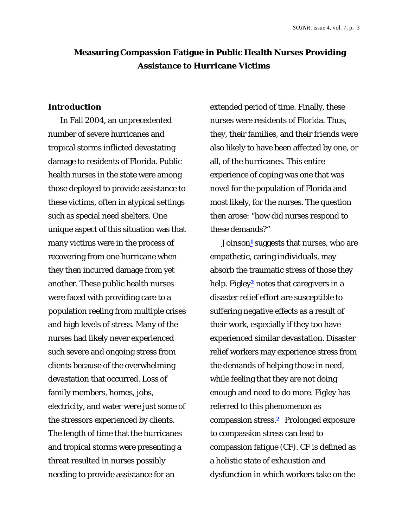## **Measuring Compassion Fatigue in Public Health Nurses Providing Assistance to Hurricane Victims**

#### **Introduction**

In Fall 2004, an unprecedented number of severe hurricanes and tropical storms inflicted devastating damage to residents of Florida. Public health nurses in the state were among those deployed to provide assistance to these victims, often in atypical settings such as special need shelters. One unique aspect of this situation was that many victims were in the process of recovering from one hurricane when they then incurred damage from yet another. These public health nurses were faced with providing care to a population reeling from multiple crises and high levels of stress. Many of the nurses had likely never experienced such severe and ongoing stress from clients because of the overwhelming devastation that occurred. Loss of family members, homes, jobs, electricity, and water were just some of the stressors experienced by clients. The length of time that the hurricanes and tropical storms were presenting a threat resulted in nurses possibly needing to provide assistance for an

extended period of time. Finally, these nurses were residents of Florida. Thus, they, their families, and their friends were also likely to have been affected by one, or all, of the hurricanes. This entire experience of coping was one that was novel for the population of Florida and most likely, for the nurses. The question then arose: "how did nurses respond to these demands?"

Joinson**1** suggests that nurses, who are empathetic, caring individuals, may absorb the traumatic stress of those they help. Figley**2** notes that caregivers in a disaster relief effort are susceptible to suffering negative effects as a result of their work, especially if they too have experienced similar devastation. Disaster relief workers may experience stress from the demands of helping those in need, while feeling that they are not doing enough and need to do more. Figley has referred to this phenomenon as compassion stress.**2** Prolonged exposure to compassion stress can lead to compassion fatigue (CF). CF is defined as a holistic state of exhaustion and dysfunction in which workers take on the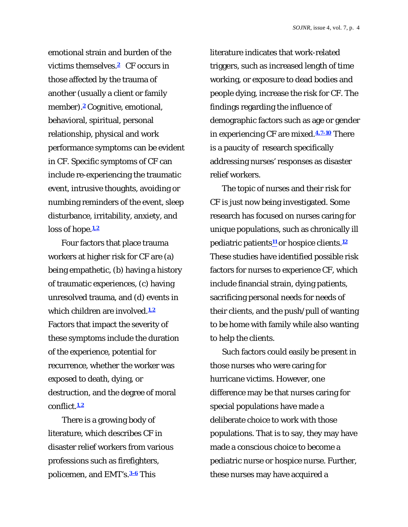emotional strain and burden of the victims themselves.**2** CF occurs in those affected by the trauma of another (usually a client or family member).**2** Cognitive, emotional, behavioral, spiritual, personal relationship, physical and work performance symptoms can be evident in CF. Specific symptoms of CF can include re-experiencing the traumatic event, intrusive thoughts, avoiding or numbing reminders of the event, sleep disturbance, irritability, anxiety, and loss of hope.**1,2** 

Four factors that place trauma workers at higher risk for CF are (a) being empathetic, (b) having a history of traumatic experiences, (c) having unresolved trauma, and (d) events in which children are involved.**1,2** Factors that impact the severity of these symptoms include the duration of the experience, potential for recurrence, whether the worker was exposed to death, dying, or destruction, and the degree of moral conflict.**1,2**

 There is a growing body of literature, which describes CF in disaster relief workers from various professions such as firefighters, policemen, and EMT's.**3-6** This

literature indicates that work-related triggers, such as increased length of time working, or exposure to dead bodies and people dying, increase the risk for CF. The findings regarding the influence of demographic factors such as age or gender in experiencing CF are mixed.**4,7-10** There is a paucity of research specifically addressing nurses' responses as disaster relief workers.

The topic of nurses and their risk for CF is just now being investigated. Some research has focused on nurses caring for unique populations, such as chronically ill pediatric patients**11** or hospice clients.**<sup>12</sup>** These studies have identified possible risk factors for nurses to experience CF, which include financial strain, dying patients, sacrificing personal needs for needs of their clients, and the push/pull of wanting to be home with family while also wanting to help the clients.

Such factors could easily be present in those nurses who were caring for hurricane victims. However, one difference may be that nurses caring for special populations have made a deliberate choice to work with those populations. That is to say, they may have made a conscious choice to become a pediatric nurse or hospice nurse. Further, these nurses may have acquired a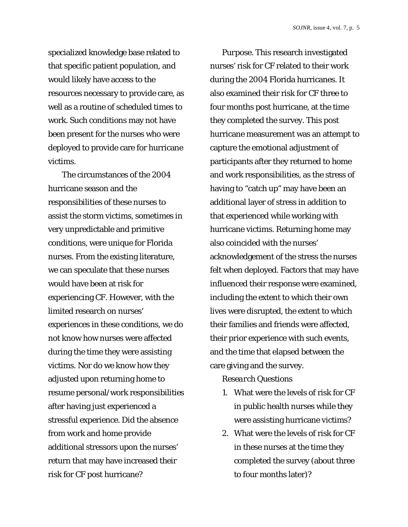specialized knowledge base related to that specific patient population, and would likely have access to the resources necessary to provide care, as well as a routine of scheduled times to work. Such conditions may not have been present for the nurses who were deployed to provide care for hurricane victims.

 The circumstances of the 2004 hurricane season and the responsibilities of these nurses to assist the storm victims, sometimes in very unpredictable and primitive conditions, were unique for Florida nurses. From the existing literature, we can speculate that these nurses would have been at risk for experiencing CF. However, with the limited research on nurses' experiences in these conditions, we do not know how nurses were affected during the time they were assisting victims. Nor do we know how they adjusted upon returning home to resume personal/work responsibilities after having just experienced a stressful experience. Did the absence from work and home provide additional stressors upon the nurses' return that may have increased their risk for CF post hurricane?

*Purpose.* This research investigated nurses' risk for CF related to their work during the 2004 Florida hurricanes. It also examined their risk for CF three to four months post hurricane, at the time they completed the survey. This post hurricane measurement was an attempt to capture the emotional adjustment of participants after they returned to home and work responsibilities, as the stress of having to "catch up" may have been an additional layer of stress in addition to that experienced while working with hurricane victims. Returning home may also coincided with the nurses' acknowledgement of the stress the nurses felt when deployed. Factors that may have influenced their response were examined, including the extent to which their own lives were disrupted, the extent to which their families and friends were affected, their prior experience with such events, and the time that elapsed between the care giving and the survey.

# *Research Questions*

- 1. What were the levels of risk for CF in public health nurses while they were assisting hurricane victims?
- 2. What were the levels of risk for CF in these nurses at the time they completed the survey (about three to four months later)?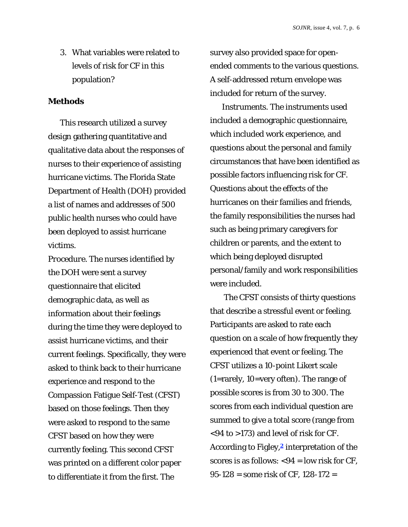3. What variables were related to levels of risk for CF in this population?

#### **Methods**

This research utilized a survey design gathering quantitative and qualitative data about the responses of nurses to their experience of assisting hurricane victims. The Florida State Department of Health (DOH) provided a list of names and addresses of 500 public health nurses who could have been deployed to assist hurricane victims.

*Procedure.* The nurses identified by the DOH were sent a survey questionnaire that elicited demographic data, as well as information about their feelings during the time they were deployed to assist hurricane victims, and their current feelings. Specifically, they were asked to think back to their hurricane experience and respond to the Compassion Fatigue Self-Test (CFST) based on those feelings. Then they were asked to respond to the same CFST based on how they were currently feeling. This second CFST was printed on a different color paper to differentiate it from the first. The

survey also provided space for openended comments to the various questions. A self-addressed return envelope was included for return of the survey.

*Instruments.* The instruments used included a demographic questionnaire, which included work experience, and questions about the personal and family circumstances that have been identified as possible factors influencing risk for CF. Questions about the effects of the hurricanes on their families and friends, the family responsibilities the nurses had such as being primary caregivers for children or parents, and the extent to which being deployed disrupted personal/family and work responsibilities were included.

 The CFST consists of thirty questions that describe a stressful event or feeling. Participants are asked to rate each question on a scale of how frequently they experienced that event or feeling. The CFST utilizes a 10-point Likert scale (1=rarely, 10=very often). The range of possible scores is from 30 to 300. The scores from each individual question are summed to give a total score (range from <94 to >173) and level of risk for CF. According to Figley,**2** interpretation of the scores is as follows:  $<$ 94 = low risk for CF, 95-128 = some risk of CF, 128-172 =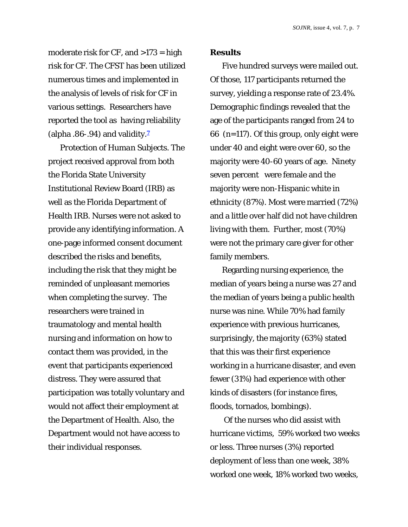moderate risk for  $CF$ , and  $>173$  = high risk for CF. The CFST has been utilized numerous times and implemented in the analysis of levels of risk for CF in various settings. Researchers have reported the tool as having reliability (alpha .86-.94) and validity.**<sup>7</sup>**

*Protection of Human Subjects.* The project received approval from both the Florida State University Institutional Review Board (IRB) as well as the Florida Department of Health IRB. Nurses were not asked to provide any identifying information. A one-page informed consent document described the risks and benefits, including the risk that they might be reminded of unpleasant memories when completing the survey. The researchers were trained in traumatology and mental health nursing and information on how to contact them was provided, in the event that participants experienced distress. They were assured that participation was totally voluntary and would not affect their employment at the Department of Health. Also, the Department would not have access to their individual responses.

#### **Results**

Five hundred surveys were mailed out. Of those, 117 participants returned the survey, yielding a response rate of 23.4%. Demographic findings revealed that the age of the participants ranged from 24 to 66 (*n*=117). Of this group, only eight were under 40 and eight were over 60, so the majority were 40-60 years of age. Ninety seven percent were female and the majority were non-Hispanic white in ethnicity (87%). Most were married (72%) and a little over half did not have children living with them. Further, most (70%) were not the primary care giver for other family members.

Regarding nursing experience, the median of years being a nurse was 27 and the median of years being a public health nurse was nine. While 70% had family experience with previous hurricanes, surprisingly, the majority (63%) stated that this was their first experience working in a hurricane disaster, and even fewer (31%) had experience with other kinds of disasters (for instance fires, floods, tornados, bombings).

 Of the nurses who did assist with hurricane victims, 59% worked two weeks or less. Three nurses (3%) reported deployment of less than one week, 38% worked one week, 18% worked two weeks,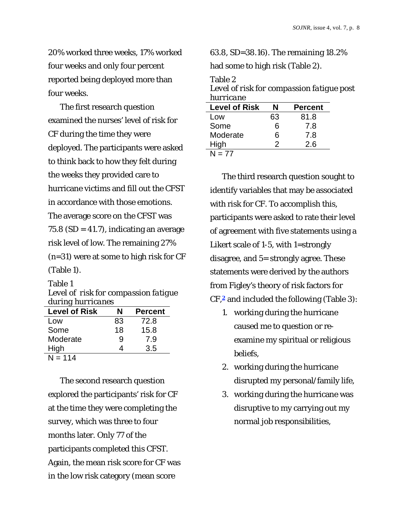20% worked three weeks, 17% worked four weeks and only four percent reported being deployed more than four weeks.

The first research question examined the nurses' level of risk for CF during the time they were deployed. The participants were asked to think back to how they felt during the weeks they provided care to hurricane victims and fill out the CFST in accordance with those emotions. The average score on the CFST was 75.8 (SD = 41.7), indicating an average risk level of low. The remaining 27% (*n*=31) were at some to high risk for CF (Table 1).

## Table 1

*Level of risk for compassion fatigue during hurricanes* 

| <b>Level of Risk</b> | N  | <b>Percent</b> |
|----------------------|----|----------------|
| Low                  | 83 | 72.8           |
| Some                 | 18 | 15.8           |
| Moderate             | 9  | 7.9            |
| High                 | 4  | 3.5            |
| $N = 114$            |    |                |

The second research question explored the participants' risk for CF at the time they were completing the survey, which was three to four months later. Only 77 of the participants completed this CFST. Again, the mean risk score for CF was in the low risk category (mean score

63.8, SD=38.16). The remaining 18.2%

had some to high risk (Table 2).

Table 2

*Level of risk for compassion fatigue post hurricane*

| <b>Level of Risk</b> | N  | <b>Percent</b> |
|----------------------|----|----------------|
| Low                  | 63 | 81.8           |
| Some                 | 6  | 7.8            |
| Moderate             | 6  | 7.8            |
| High                 | 2  | 2.6            |
| N = 77               |    |                |

The third research question sought to identify variables that may be associated with risk for CF. To accomplish this, participants were asked to rate their level of agreement with five statements using a Likert scale of 1-5, with 1=strongly disagree, and 5= strongly agree. These statements were derived by the authors from Figley's theory of risk factors for CF,**2** and included the following (Table 3):

- 1. working during the hurricane caused me to question or reexamine my spiritual or religious beliefs,
- 2. working during the hurricane disrupted my personal/family life,
- 3. working during the hurricane was disruptive to my carrying out my normal job responsibilities,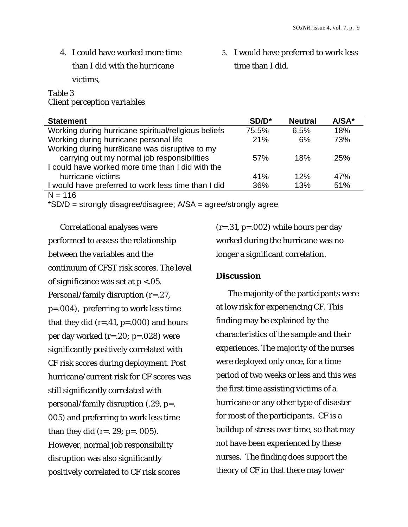4. I could have worked more time than I did with the hurricane victims,

## Table 3 *Client perception variables*

5. I would have preferred to work less time than I did.

| SD/D* | <b>Neutral</b> | $A/SA*$ |
|-------|----------------|---------|
| 75.5% | 6.5%           | 18%     |
| 21%   | 6%             | 73%     |
|       |                |         |
| 57%   | 18%            | 25%     |
|       |                |         |
| 41%   | 12%            | 47%     |
| 36%   | 13%            | 51%     |
|       |                |         |

 $N = 116$ 

\*SD/D = strongly disagree/disagree; A/SA = agree/strongly agree

Correlational analyses were performed to assess the relationship between the variables and the continuum of CFST risk scores. The level of significance was set at *p* <.05. Personal/family disruption (*r*=.27, *p*=.004), preferring to work less time that they did ( $r=.41$ ,  $p=.000$ ) and hours per day worked (r=.20; *p*=.028) were significantly positively correlated with CF risk scores during deployment. Post hurricane/current risk for CF scores was still significantly correlated with personal/family disruption (.29, *p*=. 005) and preferring to work less time than they did (r=. 29; *p*=. 005). However, normal job responsibility disruption was also significantly positively correlated to CF risk scores

(r=.31, *p*=.002) while hours per day worked during the hurricane was no longer a significant correlation.

## **Discussion**

The majority of the participants were at low risk for experiencing CF. This finding may be explained by the characteristics of the sample and their experiences. The majority of the nurses were deployed only once, for a time period of two weeks or less and this was the first time assisting victims of a hurricane or any other type of disaster for most of the participants. CF is a buildup of stress over time, so that may not have been experienced by these nurses. The finding does support the theory of CF in that there may lower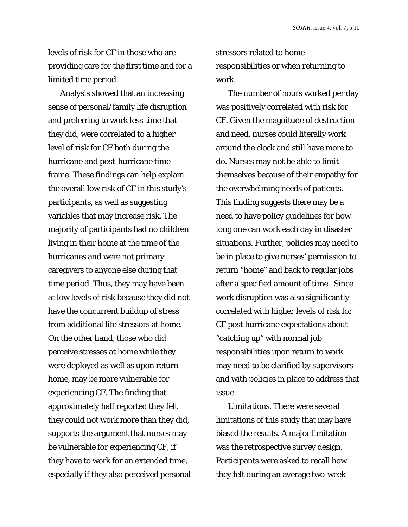levels of risk for CF in those who are providing care for the first time and for a limited time period.

Analysis showed that an increasing sense of personal/family life disruption and preferring to work less time that they did, were correlated to a higher level of risk for CF both during the hurricane and post-hurricane time frame. These findings can help explain the overall low risk of CF in this study's participants, as well as suggesting variables that may increase risk. The majority of participants had no children living in their home at the time of the hurricanes and were not primary caregivers to anyone else during that time period. Thus, they may have been at low levels of risk because they did not have the concurrent buildup of stress from additional life stressors at home. On the other hand, those who did perceive stresses at home while they were deployed as well as upon return home, may be more vulnerable for experiencing CF. The finding that approximately half reported they felt they could not work more than they did, supports the argument that nurses may be vulnerable for experiencing CF, if they have to work for an extended time, especially if they also perceived personal stressors related to home responsibilities or when returning to work.

The number of hours worked per day was positively correlated with risk for CF. Given the magnitude of destruction and need, nurses could literally work around the clock and still have more to do. Nurses may not be able to limit themselves because of their empathy for the overwhelming needs of patients. This finding suggests there may be a need to have policy guidelines for how long one can work each day in disaster situations. Further, policies may need to be in place to give nurses' permission to return "home" and back to regular jobs after a specified amount of time. Since work disruption was also significantly correlated with higher levels of risk for CF post hurricane expectations about "catching up" with normal job responsibilities upon return to work may need to be clarified by supervisors and with policies in place to address that issue.

*Limitations.* There were several limitations of this study that may have biased the results. A major limitation was the retrospective survey design. Participants were asked to recall how they felt during an average two-week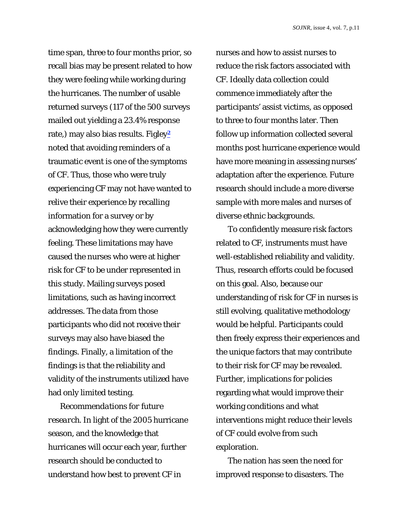time span, three to four months prior, so recall bias may be present related to how they were feeling while working during the hurricanes. The number of usable returned surveys (117 of the 500 surveys mailed out yielding a 23.4% response rate,) may also bias results. Figley**<sup>2</sup>** noted that avoiding reminders of a traumatic event is one of the symptoms of CF. Thus, those who were truly experiencing CF may not have wanted to relive their experience by recalling information for a survey or by acknowledging how they were currently feeling. These limitations may have caused the nurses who were at higher risk for CF to be under represented in this study. Mailing surveys posed limitations, such as having incorrect addresses. The data from those participants who did not receive their surveys may also have biased the findings. Finally, a limitation of the findings is that the reliability and validity of the instruments utilized have had only limited testing.

*Recommendations for future research.* In light of the 2005 hurricane season, and the knowledge that hurricanes will occur each year, further research should be conducted to understand how best to prevent CF in

nurses and how to assist nurses to reduce the risk factors associated with CF. Ideally data collection could commence immediately after the participants' assist victims, as opposed to three to four months later. Then follow up information collected several months post hurricane experience would have more meaning in assessing nurses' adaptation after the experience. Future research should include a more diverse sample with more males and nurses of diverse ethnic backgrounds.

To confidently measure risk factors related to CF, instruments must have well-established reliability and validity. Thus, research efforts could be focused on this goal. Also, because our understanding of risk for CF in nurses is still evolving, qualitative methodology would be helpful. Participants could then freely express their experiences and the unique factors that may contribute to their risk for CF may be revealed. Further, implications for policies regarding what would improve their working conditions and what interventions might reduce their levels of CF could evolve from such exploration.

The nation has seen the need for improved response to disasters. The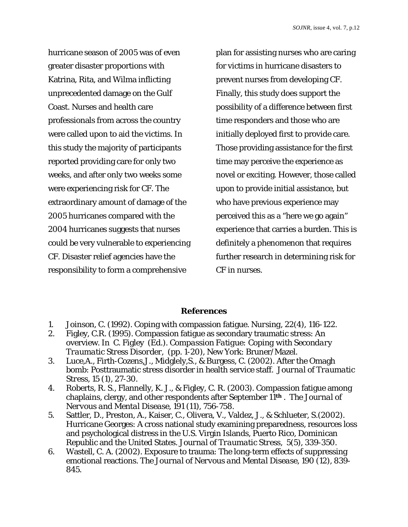hurricane season of 2005 was of even greater disaster proportions with Katrina, Rita, and Wilma inflicting unprecedented damage on the Gulf Coast. Nurses and health care professionals from across the country were called upon to aid the victims. In this study the majority of participants reported providing care for only two weeks, and after only two weeks some were experiencing risk for CF. The extraordinary amount of damage of the 2005 hurricanes compared with the 2004 hurricanes suggests that nurses could be very vulnerable to experiencing CF. Disaster relief agencies have the responsibility to form a comprehensive

plan for assisting nurses who are caring for victims in hurricane disasters to prevent nurses from developing CF. Finally, this study does support the possibility of a difference between first time responders and those who are initially deployed first to provide care. Those providing assistance for the first time may perceive the experience as novel or exciting. However, those called upon to provide initial assistance, but who have previous experience may perceived this as a "here we go again" experience that carries a burden. This is definitely a phenomenon that requires further research in determining risk for CF in nurses.

## **References**

- 1. Joinson, C. (1992). Coping with compassion fatigue. *Nursing, 22*(4), 116-122.
- 2. Figley, C.R. (1995). Compassion fatigue as secondary traumatic stress: An overview. In C. Figley (Ed.). *Compassion Fatigue: Coping with Secondary Traumatic Stress Disorder,* (pp. 1-20), New York: Bruner/Mazel.
- 3. Luce,A., Firth-Cozens,J., Midglely,S., & Burgess, C. (2002). After the Omagh bomb: Posttraumatic stress disorder in health service staff. *Journal of Traumatic Stress,* 15 (1), 27-30.
- 4. Roberts, R. S., Flannelly, K. J., & Figley, C. R. (2003). Compassion fatigue among chaplains, clergy, and other respondents after September 11**th** . *The Journal of Nervous and Mental Disease, 191* (11), 756-758.
- 5.Sattler, D., Preston, A., Kaiser, C., Olivera, V., Valdez, J., & Schlueter, S.(2002). Hurricane Georges: A cross national study examining preparedness, resources loss and psychological distress in the U.S. Virgin Islands, Puerto Rico, Dominican Republic and the United States. *Journal of Traumatic Stress*, 5(5), 339-350.
- 6. Wastell, C. A. (2002). Exposure to trauma: The long-term effects of suppressing emotional reactions. *The Journal of Nervous and Mental Disease*, *190* (12), 839- 845.